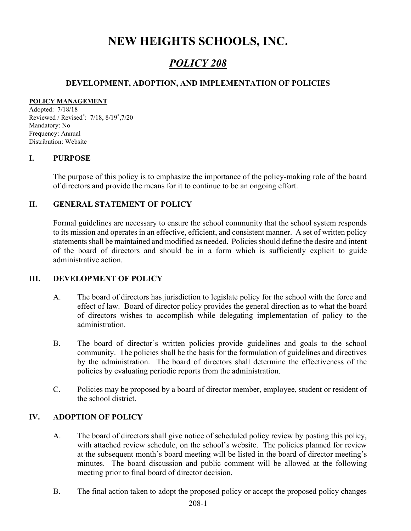## NEW HEIGHTS SCHOOLS, INC.

### POLICY 208

#### DEVELOPMENT, ADOPTION, AND IMPLEMENTATION OF POLICIES

#### POLICY MANAGEMENT

Adopted: 7/18/18 Reviewed / Revised\* : 7/18, 8/19\* ,7/20 Mandatory: No Frequency: Annual Distribution: Website

#### I. PURPOSE

The purpose of this policy is to emphasize the importance of the policy-making role of the board of directors and provide the means for it to continue to be an ongoing effort.

#### II. GENERAL STATEMENT OF POLICY

Formal guidelines are necessary to ensure the school community that the school system responds to its mission and operates in an effective, efficient, and consistent manner. A set of written policy statements shall be maintained and modified as needed. Policies should define the desire and intent of the board of directors and should be in a form which is sufficiently explicit to guide administrative action.

#### III. DEVELOPMENT OF POLICY

- A. The board of directors has jurisdiction to legislate policy for the school with the force and effect of law. Board of director policy provides the general direction as to what the board of directors wishes to accomplish while delegating implementation of policy to the administration.
- B. The board of director's written policies provide guidelines and goals to the school community. The policies shall be the basis for the formulation of guidelines and directives by the administration. The board of directors shall determine the effectiveness of the policies by evaluating periodic reports from the administration.
- C. Policies may be proposed by a board of director member, employee, student or resident of the school district.

#### IV. ADOPTION OF POLICY

- A. The board of directors shall give notice of scheduled policy review by posting this policy, with attached review schedule, on the school's website. The policies planned for review at the subsequent month's board meeting will be listed in the board of director meeting's minutes. The board discussion and public comment will be allowed at the following meeting prior to final board of director decision.
- B. The final action taken to adopt the proposed policy or accept the proposed policy changes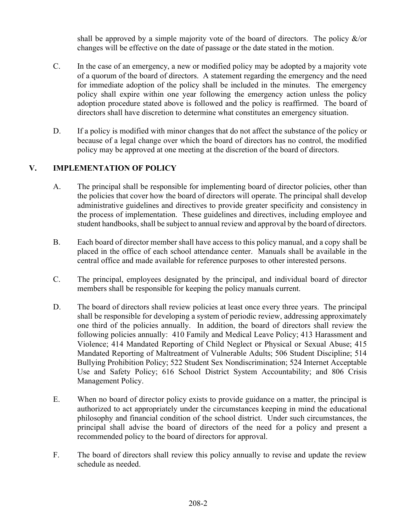shall be approved by a simple majority vote of the board of directors. The policy &/or changes will be effective on the date of passage or the date stated in the motion.

- C. In the case of an emergency, a new or modified policy may be adopted by a majority vote of a quorum of the board of directors. A statement regarding the emergency and the need for immediate adoption of the policy shall be included in the minutes. The emergency policy shall expire within one year following the emergency action unless the policy adoption procedure stated above is followed and the policy is reaffirmed. The board of directors shall have discretion to determine what constitutes an emergency situation.
- D. If a policy is modified with minor changes that do not affect the substance of the policy or because of a legal change over which the board of directors has no control, the modified policy may be approved at one meeting at the discretion of the board of directors.

#### V. IMPLEMENTATION OF POLICY

- A. The principal shall be responsible for implementing board of director policies, other than the policies that cover how the board of directors will operate. The principal shall develop administrative guidelines and directives to provide greater specificity and consistency in the process of implementation. These guidelines and directives, including employee and student handbooks, shall be subject to annual review and approval by the board of directors.
- B. Each board of director member shall have access to this policy manual, and a copy shall be placed in the office of each school attendance center. Manuals shall be available in the central office and made available for reference purposes to other interested persons.
- C. The principal, employees designated by the principal, and individual board of director members shall be responsible for keeping the policy manuals current.
- D. The board of directors shall review policies at least once every three years. The principal shall be responsible for developing a system of periodic review, addressing approximately one third of the policies annually. In addition, the board of directors shall review the following policies annually: 410 Family and Medical Leave Policy; 413 Harassment and Violence; 414 Mandated Reporting of Child Neglect or Physical or Sexual Abuse; 415 Mandated Reporting of Maltreatment of Vulnerable Adults; 506 Student Discipline; 514 Bullying Prohibition Policy; 522 Student Sex Nondiscrimination; 524 Internet Acceptable Use and Safety Policy; 616 School District System Accountability; and 806 Crisis Management Policy.
- E. When no board of director policy exists to provide guidance on a matter, the principal is authorized to act appropriately under the circumstances keeping in mind the educational philosophy and financial condition of the school district. Under such circumstances, the principal shall advise the board of directors of the need for a policy and present a recommended policy to the board of directors for approval.
- F. The board of directors shall review this policy annually to revise and update the review schedule as needed.